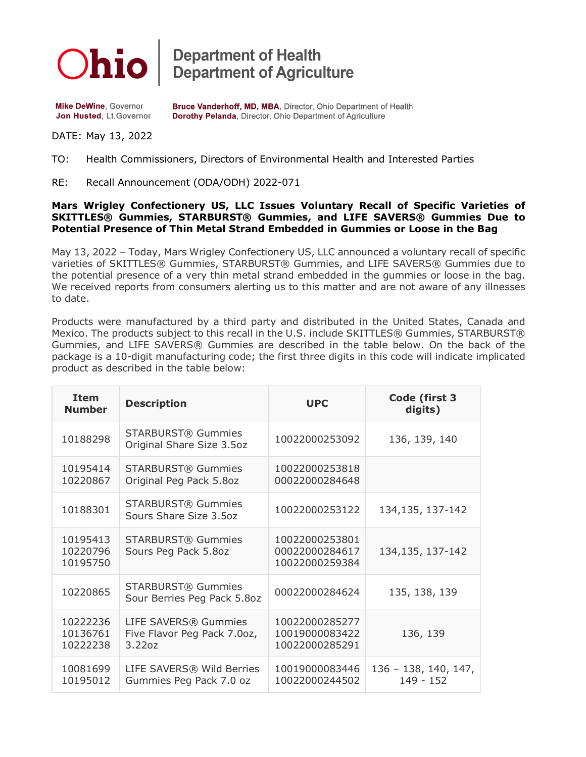

**Department of Health<br>Department of Agriculture** 

**Mike DeWine, Governor** Jon Husted, Lt.Governor Bruce Vanderhoff, MD, MBA, Director, Ohio Department of Health Dorothy Pelanda, Director, Ohio Department of Agriculture

## DATE: May 13, 2022

## TO: Health Commissioners, Directors of Environmental Health and Interested Parties

RE: Recall Announcement (ODA/ODH) 2022-071

## **Mars Wrigley Confectionery US, LLC Issues Voluntary Recall of Specific Varieties of SKITTLES® Gummies, STARBURST® Gummies, and LIFE SAVERS® Gummies Due to Potential Presence of Thin Metal Strand Embedded in Gummies or Loose in the Bag**

May 13, 2022 – Today, Mars Wrigley Confectionery US, LLC announced a voluntary recall of specific varieties of SKITTLES® Gummies, STARBURST® Gummies, and LIFE SAVERS® Gummies due to the potential presence of a very thin metal strand embedded in the gummies or loose in the bag. We received reports from consumers alerting us to this matter and are not aware of any illnesses to date.

Products were manufactured by a third party and distributed in the United States, Canada and Mexico. The products subject to this recall in the U.S. include SKITTLES® Gummies, STARBURST® Gummies, and LIFE SAVERS® Gummies are described in the table below. On the back of the package is a 10-digit manufacturing code; the first three digits in this code will indicate implicated product as described in the table below:

| <b>Item</b><br><b>Number</b>     | <b>Description</b>                                            | <b>UPC</b>                                         | Code (first 3<br>digits)            |
|----------------------------------|---------------------------------------------------------------|----------------------------------------------------|-------------------------------------|
| 10188298                         | <b>STARBURST® Gummies</b><br>Original Share Size 3.5oz        | 10022000253092                                     | 136, 139, 140                       |
| 10195414<br>10220867             | <b>STARBURST® Gummies</b><br>Original Peg Pack 5.8oz          | 10022000253818<br>00022000284648                   |                                     |
| 10188301                         | <b>STARBURST® Gummies</b><br>Sours Share Size 3.5oz           | 10022000253122                                     | 134,135, 137-142                    |
| 10195413<br>10220796<br>10195750 | <b>STARBURST® Gummies</b><br>Sours Peg Pack 5.8oz             | 10022000253801<br>00022000284617<br>10022000259384 | 134, 135, 137-142                   |
| 10220865                         | <b>STARBURST® Gummies</b><br>Sour Berries Peg Pack 5.8oz      | 00022000284624                                     | 135, 138, 139                       |
| 10222236<br>10136761<br>10222238 | LIFE SAVERS® Gummies<br>Five Flavor Peg Pack 7.0oz,<br>3.22oz | 10022000285277<br>10019000083422<br>10022000285291 | 136, 139                            |
| 10081699<br>10195012             | LIFE SAVERS® Wild Berries<br>Gummies Peg Pack 7.0 oz          | 10019000083446<br>10022000244502                   | $136 - 138, 140, 147,$<br>149 - 152 |